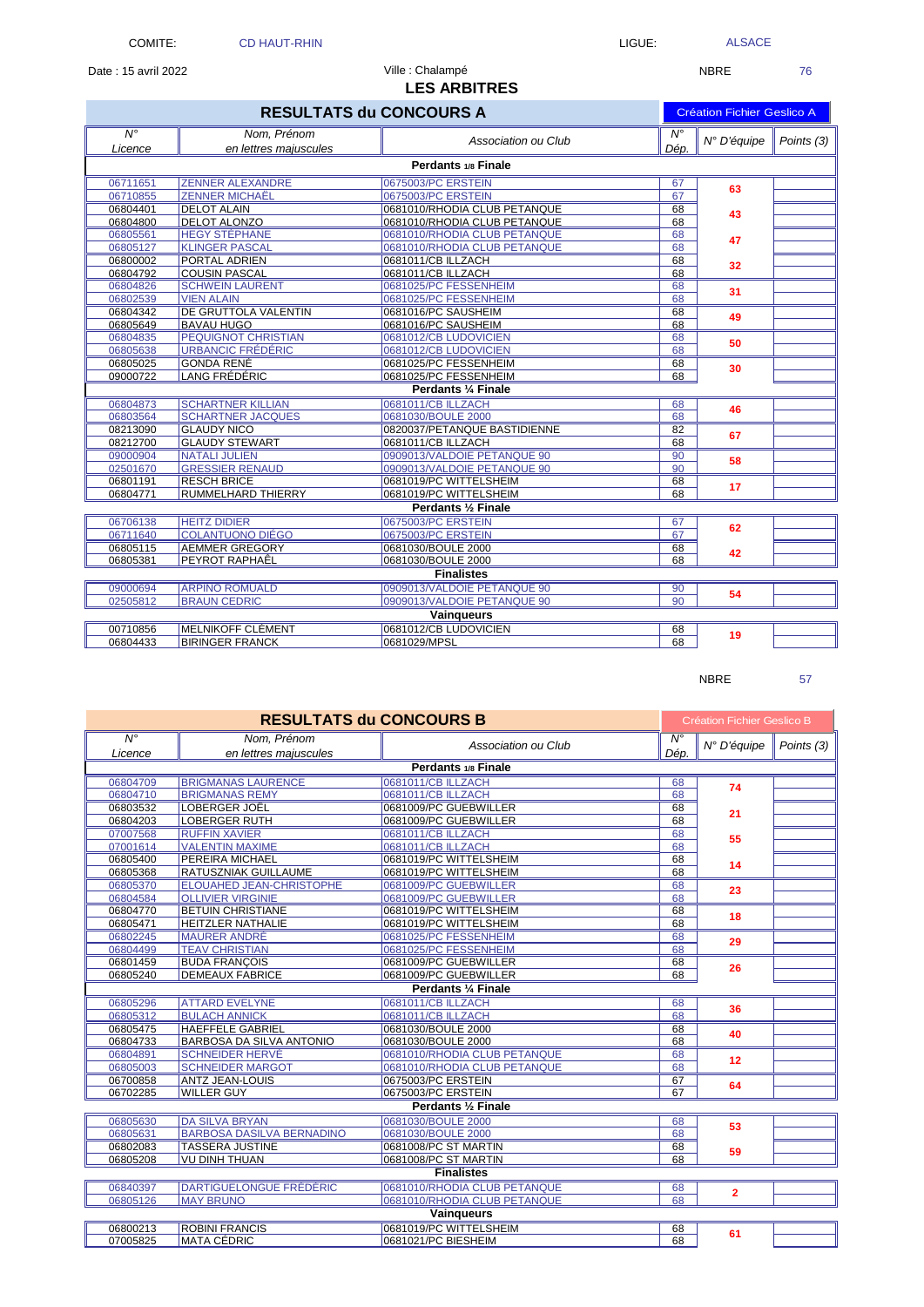Date : 15 avril 2022 **NBRE** 76

## **LES ARBITRES** Ville : Chalampé

| <b>RESULTATS du CONCOURS A</b> |                              |                              |                        | <b>Création Fichier Geslico A</b> |            |  |  |  |
|--------------------------------|------------------------------|------------------------------|------------------------|-----------------------------------|------------|--|--|--|
| $\overline{N^{\circ}}$         | Nom, Prénom                  | Association ou Club          | $\overline{N^{\circ}}$ | N° D'équipe                       | Points (3) |  |  |  |
| Licence                        | en lettres maiuscules        |                              | Dép.                   |                                   |            |  |  |  |
| Perdants 1/8 Finale            |                              |                              |                        |                                   |            |  |  |  |
| 06711651                       | <b>ZENNER ALEXANDRE</b>      | 0675003/PC ERSTEIN           | 67                     | 63                                |            |  |  |  |
| 06710855                       | <b>ZENNER MICHAËL</b>        | 0675003/PC ERSTEIN           | 67                     |                                   |            |  |  |  |
| 06804401                       | <b>DELOT ALAIN</b>           | 0681010/RHODIA CLUB PETANQUE | 68                     | 43                                |            |  |  |  |
| 06804800                       | <b>DELOT ALONZO</b>          | 0681010/RHODIA CLUB PETANQUE | 68                     |                                   |            |  |  |  |
| 06805561                       | <b>HEGY STÉPHANE</b>         | 0681010/RHODIA CLUB PETANQUE | 68                     | 47                                |            |  |  |  |
| 06805127                       | <b>KLINGER PASCAL</b>        | 0681010/RHODIA CLUB PETANQUE | 68                     |                                   |            |  |  |  |
| 06800002                       | <b>PORTAL ADRIEN</b>         | 0681011/CB ILLZACH           | 68                     | 32                                |            |  |  |  |
| 06804792                       | <b>COUSIN PASCAL</b>         | 0681011/CB ILLZACH           | 68                     |                                   |            |  |  |  |
| 06804826                       | <b>SCHWEIN LAURENT</b>       | 0681025/PC FESSENHEIM        | 68                     | 31                                |            |  |  |  |
| 06802539                       | <b>VIEN ALAIN</b>            | 0681025/PC FESSENHEIM        | 68                     |                                   |            |  |  |  |
| 06804342                       | <b>IDE GRUTTOLA VALENTIN</b> | 0681016/PC SAUSHEIM          | 68                     | 49                                |            |  |  |  |
| 06805649                       | <b>BAVAU HUGO</b>            | 0681016/PC SAUSHEIM          | 68                     |                                   |            |  |  |  |
| 06804835                       | <b>PEQUIGNOT CHRISTIAN</b>   | 0681012/CB LUDOVICIEN        | 68                     | 50                                |            |  |  |  |
| 06805638                       | URBANCIC FRÉDÉRIC            | 0681012/CB LUDOVICIEN        | 68                     |                                   |            |  |  |  |
| 06805025                       | <b>GONDA RENÉ</b>            | 0681025/PC FESSENHEIM        | 68                     | 30                                |            |  |  |  |
| 09000722                       | LANG FRÉDÉRIC                | 0681025/PC FESSENHEIM        | 68                     |                                   |            |  |  |  |
|                                | Perdants 1/4 Finale          |                              |                        |                                   |            |  |  |  |
| 06804873                       | <b>SCHARTNER KILLIAN</b>     | 0681011/CB ILLZACH           | 68                     | 46                                |            |  |  |  |
| 06803564                       | <b>SCHARTNER JACQUES</b>     | 0681030/BOULE 2000           | 68                     |                                   |            |  |  |  |
| 08213090                       | <b>GLAUDY NICO</b>           | 0820037/PETANQUE BASTIDIENNE | 82                     | 67                                |            |  |  |  |
| 08212700                       | <b>GLAUDY STEWART</b>        | 0681011/CB ILLZACH           | 68                     |                                   |            |  |  |  |
| 09000904                       | <b>NATALI JULIEN</b>         | 0909013/VALDOIE PETANQUE 90  | $\overline{90}$        | 58                                |            |  |  |  |
| 02501670                       | <b>GRESSIER RENAUD</b>       | 0909013/VALDOIE PETANQUE 90  | 90                     |                                   |            |  |  |  |
| 06801191                       | <b>RESCH BRICE</b>           | 0681019/PC WITTELSHEIM       | 68                     | 17                                |            |  |  |  |
| 06804771                       | <b>RUMMELHARD THIERRY</b>    | 0681019/PC WITTELSHEIM       | 68                     |                                   |            |  |  |  |
|                                |                              | Perdants 1/2 Finale          |                        |                                   |            |  |  |  |
| 06706138                       | <b>HEITZ DIDIER</b>          | 0675003/PC ERSTEIN           | 67                     | 62                                |            |  |  |  |
| 06711640                       | <b>COLANTUONO DIÉGO</b>      | 0675003/PC ERSTEIN           | 67                     |                                   |            |  |  |  |
| 06805115                       | <b>AEMMER GREGORY</b>        | 0681030/BOULE 2000           | 68                     | 42                                |            |  |  |  |
| 06805381                       | <b>PEYROT RAPHAÊL</b>        | 0681030/BOULE 2000           | 68                     |                                   |            |  |  |  |
|                                |                              | <b>Finalistes</b>            |                        |                                   |            |  |  |  |
| 09000694                       | <b>ARPINO ROMUALD</b>        | 0909013/VALDOIE PETANQUE 90  | 90                     | 54                                |            |  |  |  |
| 02505812                       | <b>BRAUN CEDRIC</b>          | 0909013/VALDOIE PETANQUE 90  | 90                     |                                   |            |  |  |  |
| <b>Vainqueurs</b>              |                              |                              |                        |                                   |            |  |  |  |
| 00710856                       | <b>MELNIKOFF CLÉMENT</b>     | 0681012/CB LUDOVICIEN        | 68                     | 19                                |            |  |  |  |
| 06804433                       | <b>BIRINGER FRANCK</b>       | 0681029/MPSL                 | 68                     |                                   |            |  |  |  |

NBRE 57

| <b>RESULTATS du CONCOURS B</b> |                                  |                              |                        | <b>Création Fichier Geslico B</b> |            |  |  |  |
|--------------------------------|----------------------------------|------------------------------|------------------------|-----------------------------------|------------|--|--|--|
| $\overline{N^{\circ}}$         | Nom, Prénom                      | Association ou Club          | $\overline{N^{\circ}}$ | N° D'équipe                       | Points (3) |  |  |  |
| Licence                        | en lettres majuscules            |                              | Dép.                   |                                   |            |  |  |  |
| Perdants 1/8 Finale            |                                  |                              |                        |                                   |            |  |  |  |
| 06804709                       | <b>BRIGMANAS LAURENCE</b>        | 0681011/CB ILLZACH           | 68                     | 74                                |            |  |  |  |
| 06804710                       | <b>BRIGMANAS REMY</b>            | 0681011/CB ILLZACH           | 68                     |                                   |            |  |  |  |
| 06803532                       | <b>LOBERGER JOËL</b>             | 0681009/PC GUEBWILLER        | 68                     | 21                                |            |  |  |  |
| 06804203                       | <b>LOBERGER RUTH</b>             | 0681009/PC GUEBWILLER        | 68                     |                                   |            |  |  |  |
| 07007568                       | <b>RUFFIN XAVIER</b>             | 0681011/CB ILLZACH           | 68                     | 55                                |            |  |  |  |
| 07001614                       | <b>VALENTIN MAXIME</b>           | 0681011/CB ILLZACH           | 68                     |                                   |            |  |  |  |
| 06805400                       | <b>PEREIRA MICHAEL</b>           | 0681019/PC WITTELSHEIM       | 68                     | 14                                |            |  |  |  |
| 06805368                       | <b>RATUSZNIAK GUILLAUME</b>      | 0681019/PC WITTELSHEIM       | 68                     |                                   |            |  |  |  |
| 06805370                       | <b>ELOUAHED JEAN-CHRISTOPHE</b>  | 0681009/PC GUEBWILLER        | 68                     | 23                                |            |  |  |  |
| 06804584                       | <b>OLLIVIER VIRGINIE</b>         | 0681009/PC GUEBWILLER        | 68                     |                                   |            |  |  |  |
| 06804770                       | <b>BETUIN CHRISTIANE</b>         | 0681019/PC WITTELSHEIM       | 68                     | 18                                |            |  |  |  |
| 06805471                       | <b>HEITZLER NATHALIE</b>         | 0681019/PC WITTELSHEIM       | 68                     |                                   |            |  |  |  |
| 06802245                       | <b>MAURER ANDRÉ</b>              | 0681025/PC FESSENHEIM        | 68                     | 29                                |            |  |  |  |
| 06804499                       | <b>TEAV CHRISTIAN</b>            | 0681025/PC FESSENHEIM        | 68                     |                                   |            |  |  |  |
| 06801459                       | <b>BUDA FRANCOIS</b>             | 0681009/PC GUEBWILLER        | 68                     | 26                                |            |  |  |  |
| 06805240                       | <b>DEMEAUX FABRICE</b>           | 0681009/PC GUEBWILLER        | 68                     |                                   |            |  |  |  |
|                                | Perdants 1/4 Finale              |                              |                        |                                   |            |  |  |  |
| 06805296                       | <b>ATTARD EVELYNE</b>            | 0681011/CB ILLZACH           | 68                     | 36                                |            |  |  |  |
| 06805312                       | <b>BULACH ANNICK</b>             | 0681011/CB ILLZACH           | 68                     |                                   |            |  |  |  |
| 06805475                       | <b>HAEFFELE GABRIEL</b>          | 0681030/BOULE 2000           | 68                     | 40                                |            |  |  |  |
| 06804733                       | <b>BARBOSA DA SILVA ANTONIO</b>  | 0681030/BOULE 2000           | 68                     |                                   |            |  |  |  |
| 06804891                       | <b>SCHNEIDER HERVÉ</b>           | 0681010/RHODIA CLUB PETANQUE | 68                     | 12                                |            |  |  |  |
| 06805003                       | <b>SCHNEIDER MARGOT</b>          | 0681010/RHODIA CLUB PETANQUE | 68                     |                                   |            |  |  |  |
| 06700858                       | <b>ANTZ JEAN-LOUIS</b>           | 0675003/PC ERSTEIN           | 67                     | 64                                |            |  |  |  |
| 06702285                       | <b>WILLER GUY</b>                | 0675003/PC ERSTEIN           | 67                     |                                   |            |  |  |  |
|                                |                                  | Perdants 1/2 Finale          |                        |                                   |            |  |  |  |
| 06805630                       | <b>DA SILVA BRYAN</b>            | 0681030/BOULE 2000           | 68                     | 53                                |            |  |  |  |
| 06805631                       | <b>BARBOSA DASILVA BERNADINO</b> | 0681030/BOULE 2000           | 68                     |                                   |            |  |  |  |
| 06802083                       | <b>TASSERA JUSTINE</b>           | 0681008/PC ST MARTIN         | 68                     | 59                                |            |  |  |  |
| 06805208                       | <b>VU DINH THUAN</b>             | 0681008/PC ST MARTIN         | 68                     |                                   |            |  |  |  |
| <b>Finalistes</b>              |                                  |                              |                        |                                   |            |  |  |  |
| 06840397                       | <b>DARTIGUELONGUE FRÉDÉRIC</b>   | 0681010/RHODIA CLUB PETANQUE | 68                     | $\overline{2}$                    |            |  |  |  |
| 06805126                       | <b>MAY BRUNO</b>                 | 0681010/RHODIA CLUB PETANQUE | 68                     |                                   |            |  |  |  |
| <b>Vainqueurs</b>              |                                  |                              |                        |                                   |            |  |  |  |
| 06800213                       | <b>ROBINI FRANCIS</b>            | 0681019/PC WITTELSHEIM       | 68                     | 61                                |            |  |  |  |
| 07005825                       | <b>MATA CÉDRIC</b>               | 0681021/PC BIESHEIM          | 68                     |                                   |            |  |  |  |

ALSACE